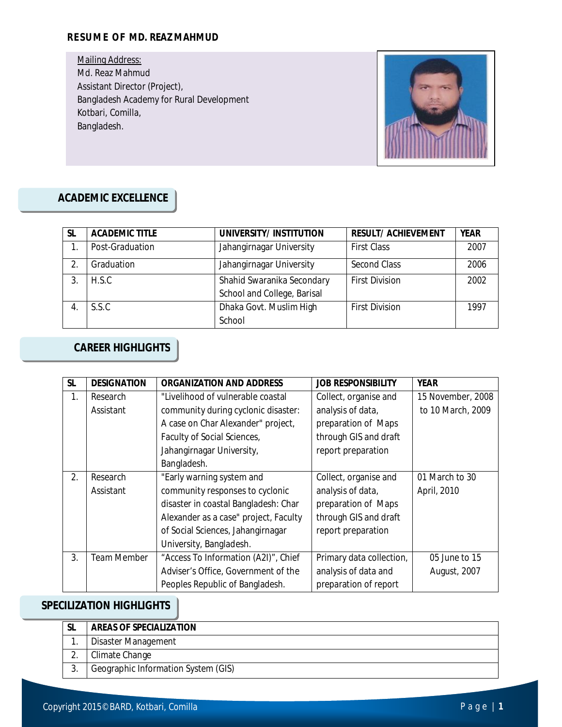#### **RESUME OF MD. REAZ MAHMUD**

Mailing Address: Md. Reaz Mahmud Assistant Director (Project), Bangladesh Academy for Rural Development Kotbari, Comilla, Bangladesh.



### **ACADEMIC EXCELLENCE**

| <b>SL</b> | <b>ACADEMIC TITLE</b> | <b>UNIVERSITY/INSTITUTION</b> | <b>RESULT/ ACHIEVEMENT</b> | <b>YEAR</b> |
|-----------|-----------------------|-------------------------------|----------------------------|-------------|
|           | Post-Graduation       | Jahangirnagar University      | <b>First Class</b>         | 2007        |
|           | Graduation            | Jahangirnagar University      | Second Class               | 2006        |
|           | H.S.C                 | Shahid Swaranika Secondary    | <b>First Division</b>      | 2002        |
|           |                       | School and College, Barisal   |                            |             |
|           | S.S.C                 | Dhaka Govt. Muslim High       | <b>First Division</b>      | 1997        |
|           |                       | School                        |                            |             |

# **CAREER HIGHLIGHTS**

| <b>SL</b> | <b>DESIGNATION</b> | <b>ORGANIZATION AND ADDRESS</b>       | <b>JOB RESPONSIBILITY</b> | <b>YEAR</b>       |
|-----------|--------------------|---------------------------------------|---------------------------|-------------------|
| 1.        | Research           | "Livelihood of vulnerable coastal     | Collect, organise and     | 15 November, 2008 |
|           | Assistant          | community during cyclonic disaster:   | analysis of data,         | to 10 March, 2009 |
|           |                    | A case on Char Alexander" project,    | preparation of Maps       |                   |
|           |                    | Faculty of Social Sciences,           | through GIS and draft     |                   |
|           |                    | Jahangirnagar University,             | report preparation        |                   |
|           |                    | Bangladesh.                           |                           |                   |
| 2.        | Research           | "Early warning system and             | Collect, organise and     | 01 March to 30    |
|           | Assistant          | community responses to cyclonic       | analysis of data,         | April, 2010       |
|           |                    | disaster in coastal Bangladesh: Char  | preparation of Maps       |                   |
|           |                    | Alexander as a case" project, Faculty | through GIS and draft     |                   |
|           |                    | of Social Sciences, Jahangirnagar     | report preparation        |                   |
|           |                    | University, Bangladesh.               |                           |                   |
| 3.        | Team Member        | "Access To Information (A2I)", Chief  | Primary data collection,  | 05 June to 15     |
|           |                    | Adviser's Office, Government of the   | analysis of data and      | August, 2007      |
|           |                    | Peoples Republic of Bangladesh.       | preparation of report     |                   |

### **SPECILIZATION HIGHLIGHTS**

| SL | <b>AREAS OF SPECIALIZATION</b> |
|----|--------------------------------|
|----|--------------------------------|

- 1. Disaster Management
- 2. Climate Change
- 3. Geographic Information System (GIS)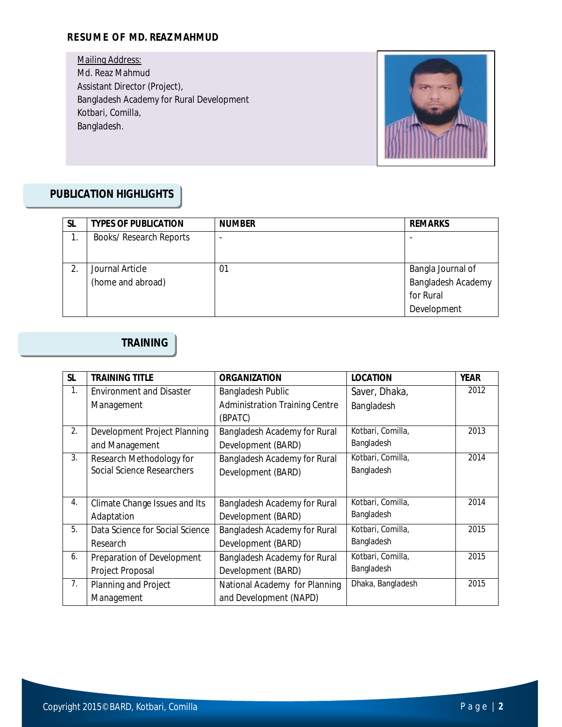#### **RESUME OF MD. REAZ MAHMUD**

**Mailing Address:** Md. Reaz Mahmud Assistant Director (Project), Bangladesh Academy for Rural Development Kotbari, Comilla, Bangladesh.



## **PUBLICATION HIGHLIGHTS**

| <b>SL</b> | <b>TYPES OF PUBLICATION</b>    | <b>NUMBER</b> | <b>REMARKS</b>     |
|-----------|--------------------------------|---------------|--------------------|
| 1.        | <b>Books/ Research Reports</b> | ۰             |                    |
|           |                                |               |                    |
|           | Journal Article                | 01            | Bangla Journal of  |
|           | (home and abroad)              |               | Bangladesh Academy |
|           |                                |               | for Rural          |
|           |                                |               | Development        |

## **TRAINING**

| <b>SL</b> | <b>TRAINING TITLE</b>             | <b>ORGANIZATION</b>                   | <b>LOCATION</b>   | <b>YEAR</b> |
|-----------|-----------------------------------|---------------------------------------|-------------------|-------------|
| 1.        | <b>Environment and Disaster</b>   | Bangladesh Public                     | Saver, Dhaka,     | 2012        |
|           | Management                        | <b>Administration Training Centre</b> | Bangladesh        |             |
|           |                                   | (BPATC)                               |                   |             |
| 2.        | Development Project Planning      | Bangladesh Academy for Rural          | Kotbari, Comilla, | 2013        |
|           | and Management                    | Development (BARD)                    | Bangladesh        |             |
| 3.        | Research Methodology for          | Bangladesh Academy for Rural          | Kotbari, Comilla, | 2014        |
|           | <b>Social Science Researchers</b> | Development (BARD)                    | Bangladesh        |             |
|           |                                   |                                       |                   |             |
| 4.        | Climate Change Issues and Its     | Bangladesh Academy for Rural          | Kotbari, Comilla, | 2014        |
|           | Adaptation                        | Development (BARD)                    | Bangladesh        |             |
| 5.        | Data Science for Social Science   | Bangladesh Academy for Rural          | Kotbari, Comilla, | 2015        |
|           | Research                          | Development (BARD)                    | Bangladesh        |             |
| 6.        | Preparation of Development        | Bangladesh Academy for Rural          | Kotbari, Comilla, | 2015        |
|           | Project Proposal                  | Development (BARD)                    | Bangladesh        |             |
| 7.        | Planning and Project              | National Academy for Planning         | Dhaka, Bangladesh | 2015        |
|           | Management                        | and Development (NAPD)                |                   |             |